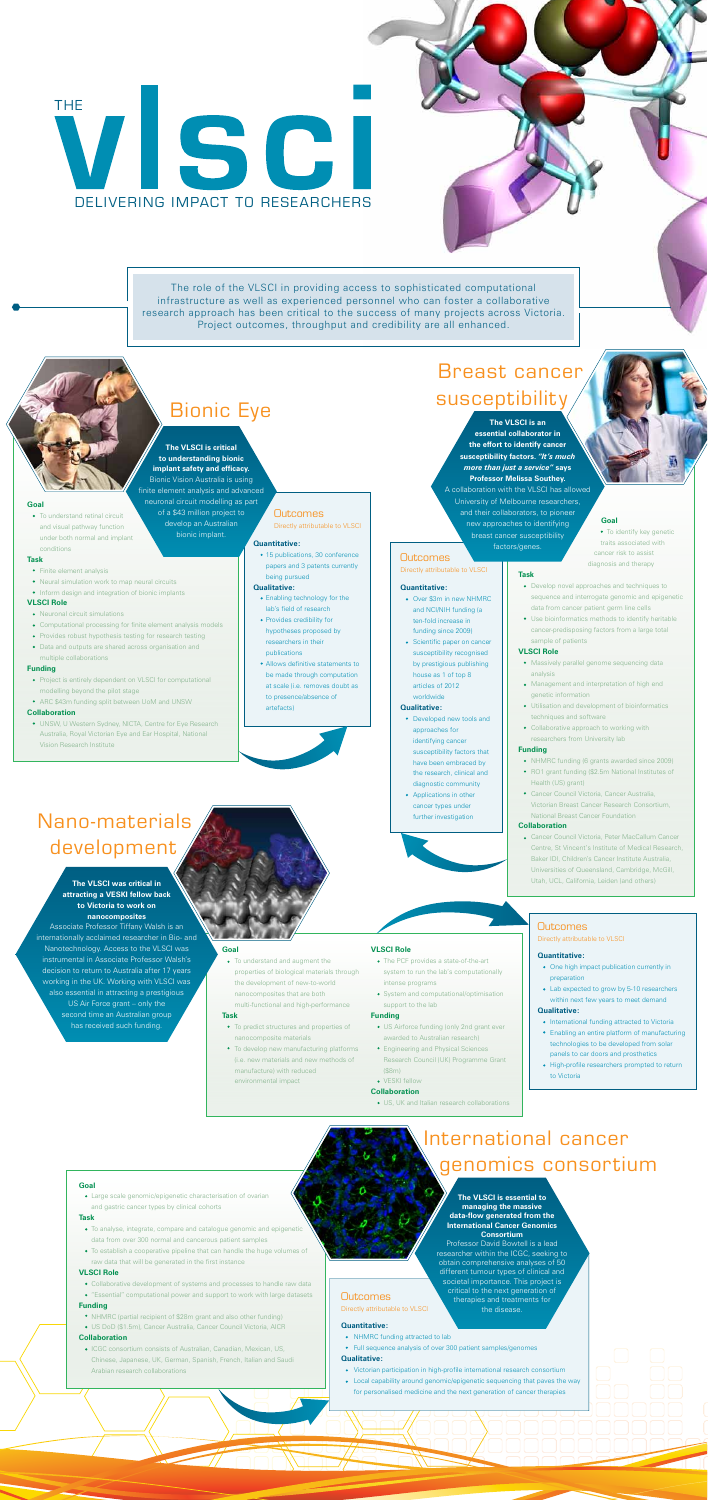# THE VISCI DELIVERING IMPACT TO RESEARCHERS

The role of the VLSCI in providing access to sophisticated computational infrastructure as well as experienced personnel who can foster a collaborative research approach has been critical to the success of many projects across Victoria. Project outcomes, throughput and credibility are all enhanced.

# **The VLSCI is critical to understanding bionic**

**implant safety and efficacy.** Bionic Vision Australia is using finite element analysis and advanced neuronal circuit modelling as part of a \$43 million project to develop an Australian bionic implant.

# **Outcomes**

**The VLSCI is an essential collaborator in the effort to identify cancer susceptibility factors.** *"It's much more than just a service"* **says Professor Melissa Southey.** A collaboration with the VLSCI has allowed University of Melbourne researchers, and their collaborators, to pioneer new approaches to identifying breast cancer susceptibility factors/genes.

# **Outcomes**

- Project is entirely dependent on VLSCI for computational modelling beyond the pilot stage
- ARC \$43m funding split between UoM and UNSW

# Bionic Eye

# **Goal**

To understand retinal circuit and visual pathway function under both normal and implant conditions

# **Task**

- Finite element analysis
- Neural simulation work to map neural circuits
- Inform design and integration of bionic implants

# **VLSCI Role**

- Neuronal circuit simulations
- Computational processing for finite element analysis models
- Provides robust hypothesis testing for research testing
- Data and outputs are shared across organisation and multiple collaborations

## **Funding**

# **Collaboration**

UNSW, U Western Sydney, NICTA, Centre for Eye Research Australia, Royal Victorian Eye and Ear Hospital, National Vision Research Institute

# **Goal**

Large scale genomic/epigenetic characterisation of ovarian and gastric cancer types by clinical cohorts

## **Task**

- To analyse, integrate, compare and catalogue genomic and epigenetic data from over 300 normal and cancerous patient samples
- To establish a cooperative pipeline that can handle the huge volumes of raw data that will be generated in the first instance

# **VLSCI Role**

- Collaborative development of systems and processes to handle raw data
- "Essential" computational power and support to work with large datasets

# **Funding**

- NHMRC (partial recipient of \$28m grant and also other funding)
- US DoD (\$1.5m), Cancer Australia, Cancer Council Victoria, AICR
- One high impact publication currently in preparation
- Lab expected to grow by 5-10 researchers within next few years to meet demand

# **Collaboration**

ICGC consortium consists of Australian, Canadian, Mexican, US, Chinese, Japanese, UK, German, Spanish, French, Italian and Saudi Arabian research collaborations

- International funding attracted to Victoria
- Enabling an entire platform of manufacturing technologies to be developed from solar panels to car doors and prosthetics
- High-profile researchers prompted to return to Victoria

**Goal**

• 15 publications, 30 conference papers and 3 patents currently being pursued

traits associated with cancer risk to assist diagnosis and therapy

# **Task**

- Develop novel approaches and techniques to sequence and interrogate genomic and epigenetic data from cancer patient germ line cells
- Use bioinformatics methods to identify heritable cancer-predisposing factors from a large total sample of patients

• To understand and augment the properties of biological materials through the development of new-to-world nanocomposites that are both multi-functional and high-performance

# **VLSCI Role**

- Massively parallel genome sequencing data analysis
- Management and interpretation of high end genetic information
- Utilisation and development of bioinformatics techniques and software
- Collaborative approach to working with researchers from University lab

### **Funding**

- RO1 grant funding (\$2.5m National Institutes of Health (US) grant)
- Cancer Council Victoria, Cancer Australia, Victorian Breast Cancer Research Consortium, National Breast Cancer Foundation

# **Collaboration**

Cancer Council Victoria, Peter MacCallum Cancer Centre, St Vincent's Institute of Medical Research, Baker IDI, Children's Cancer Institute Australia, Universities of Queensland, Cambridge, McGill, Utah, UCL, California, Leiden (and others)

# Directly attributable to VLSCI

# **Quantitative:**

- Over \$3m in new NHMRC and NCI/NIH funding (a ten-fold increase in funding since 2009)
- Scientific paper on cancer susceptibility recognised by prestigious publishing house as 1 of top 8 articles of 2012

worldwide

# **Qualitative:**

Developed new tools and approaches for identifying cancer susceptibility factors that



# • To identify key genetic

have been embraced by the research, clinical and diagnostic community

Applications in other cancer types under further investigation

# Directly attributable to VLSCI

# **Quantitative:**

**Outcomes** 

• NHMRC funding attracted to lab

- Full sequence analysis of over 300 patient samples/genomes
- **Qualitative:**
- Victorian participation in high-profile international research consortium Local capability around genomic/epigenetic sequencing that paves the way
- for personalised medicine and the next generation of cancer therapies

Directly attributable to VLSCI

# **Quantitative:**

# **Qualitative:**

# Outcomes

# Directly attributable to VLSCI

## **Quantitative:**

## **Qualitative:**

- Enabling technology for the lab's field of research
- Provides credibility for hypotheses proposed by researchers in their publications
- Allows definitive statements to be made through computation at scale (i.e. removes doubt as to presence/absence of artefacts)

# Nano-materials development

# Breast cancer susceptibility

# **Goal**

## **Task**

- To predict structures and properties of nanocomposite materials
- To develop new manufacturing platforms (i.e. new materials and new methods of manufacture) with reduced environmental impact

**VLSCI Role**

The PCF provides a state-of-the-art system to run the lab's computationally

intense programs

System and computational/optimisation

support to the lab

**Funding**

US Airforce funding (only 2nd grant ever awarded to Australian research) Engineering and Physical Sciences Research Council (UK) Programme Grant

(\$8m) VESKI fellow **Collaboration**

# • NHMRC funding (6 grants awarded since 2009)

US, UK and Italian research collaborations

# International cancer genomics consortium

# **The VLSCI was critical in attracting a VESKI fellow back to Victoria to work on nanocomposites**

Associate Professor Tiffany Walsh is an internationally acclaimed researcher in Bio- and Nanotechnology. Access to the VLSCI was instrumental in Associate Professor Walsh's decision to return to Australia after 17 years working in the UK. Working with VLSCI was also essential in attracting a prestigious US Air Force grant – only the second time an Australian group has received such funding.

# **The VLSCI is essential to managing the massive data-flow generated from the International Cancer Genomics Consortium**

Professor David Bowtell is a lead researcher within the ICGC, seeking to obtain comprehensive analyses of 50 different tumour types of clinical and societal importance. This project is critical to the next generation of therapies and treatments for the disease.